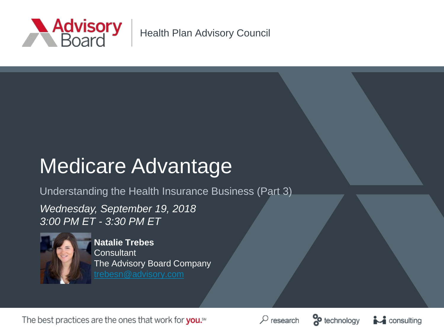

Health Plan Advisory Council

# Medicare Advantage

Understanding the Health Insurance Business (Part 3)

*Wednesday, September 19, 2018 3:00 PM ET - 3:30 PM ET*



**Natalie Trebes Consultant** The Advisory Board Company

The best practices are the ones that work for you.<sup>5M</sup>





 $\mathbf{A}$  consulting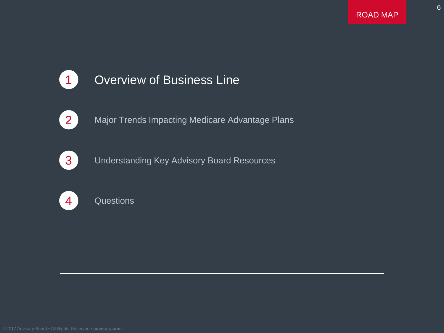6



### **1** Overview of Business Line



2 Major Trends Impacting Medicare Advantage Plans



**3** Understanding Key Advisory Board Resources



4 Questions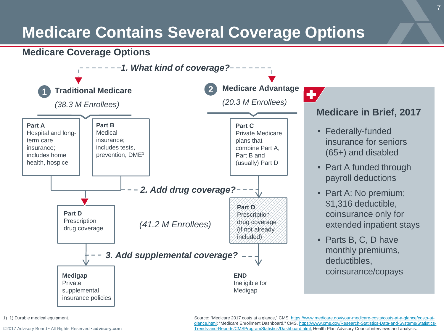# **Medicare Contains Several Coverage Options**

### **Medicare Coverage Options**



<sup>1)</sup> 1) Durable medical equipment.

[©2017 Advisory Board • All Rights Reserved •](https://www.advisory.com/) **advisory.com**

Source: "Medicare 2017 costs at a glance," CMS, https://www.medicare.gov/your-medicare-costs/costs-at-a-glance/costs-at[glance.html; "Medicare Enrollment Dashboard," CMS, https://www.cms.gov/Research-Statistics-Data-and-Systems/Statistic](https://www.medicare.gov/your-medicare-costs/costs-at-a-glance/costs-at-glance.html)[s-](https://www.cms.gov/Research-Statistics-Data-and-Systems/Statistics-Trends-and-Reports/CMSProgramStatistics/Dashboard.html)Trends-and-Reports/CMSProgramStatistics/Dashboard.html; Health Plan Advisory Council interviews and analysis.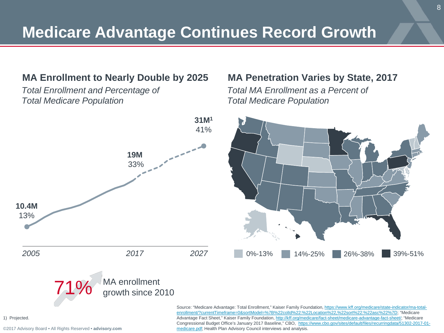### **MA Enrollment to Nearly Double by 2025**

*Total Enrollment and Percentage of Total Medicare Population*

### **MA Penetration Varies by State, 2017**

*Total MA Enrollment as a Percent of Total Medicare Population* 



[Source: "Medicare Advantage: Total Enrollment," Kaiser Family Foundation, https://www.kff.org/medicare/state-indicator/ma-total](https://www.kff.org/medicare/state-indicator/ma-total-enrollment/?currentTimeframe=0&sortModel=%7B%22colId%22:%22Location%22,%22sort%22:%22asc%22%7D)enrollment/?currentTimeframe=0&sortModel=%7B%22colId%22:%22Location%22,%22sort%22:%22asc%22%7D; "Medicare Advantage Fact Sheet," Kaiser Family Foundation, [http://kff.org/medicare/fact-sheet/medicare-advantage-fact-sheet/;](http://kff.org/medicare/fact-sheet/medicare-advantage-fact-sheet/) "Medicare [Congressional Budget Office's January 2017 Baseline," CBO, https://www.cbo.gov/sites/default/files/recurringdata/51302-2017-01](https://www.cbo.gov/sites/default/files/recurringdata/51302-2017-01-medicare.pdf) medicare.pdf; Health Plan Advisory Council interviews and analysis.

1) Projected.

[©2017 Advisory Board • All Rights Reserved •](https://www.advisory.com/) **advisory.com**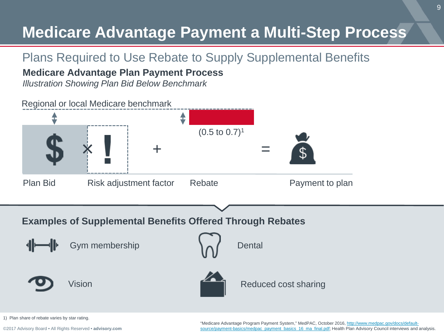# **Medicare Advantage Payment a Multi-Step Process**

## Plans Required to Use Rebate to Supply Supplemental Benefits

### **Medicare Advantage Plan Payment Process**

*Illustration Showing Plan Bid Below Benchmark*



1) Plan share of rebate varies by star rating.

[©2017 Advisory Board • All Rights Reserved •](https://www.advisory.com/) **advisory.com**

"Medicare Advantage Program Payment System," MedPAC, October 2016, http://www.medpac.gov/docs/default[source/payment-basics/medpac\\_payment\\_basics\\_16\\_ma\\_final.pdf; Health Plan Advisory Council interviews and](http://www.medpac.gov/docs/default-source/payment-basics/medpac_payment_basics_16_ma_final.pdf) analysis.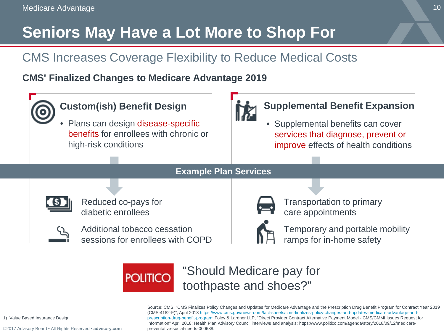# **Seniors May Have a Lot More to Shop For**

## CMS Increases Coverage Flexibility to Reduce Medical Costs

**CMS' Finalized Changes to Medicare Advantage 2019**



Source: CMS, "CMS Finalizes Policy Changes and Updates for Medicare Advantage and the Prescription Drug Benefit Program for Contract Year 2019 [\(CMS-4182-F\)", April 2018 https://www.cms.gov/newsroom/fact-sheets/cms-finalizes-policy-changes-and-updates-medicare-advantage-and](https://www.cms.gov/newsroom/fact-sheets/cms-finalizes-policy-changes-and-updates-medicare-advantage-and-prescription-drug-benefit-program)prescription-drug-benefit-program; Foley & Lardner LLP, "Direct Provider Contract Alternative Payment Model - CMS/CMMI Issues Request for Information" April 2018; Health Plan Advisory Council interviews and analysis; https://www.politico.com/agenda/story/2018/09/12/medicarepreventative-social-needs-000688.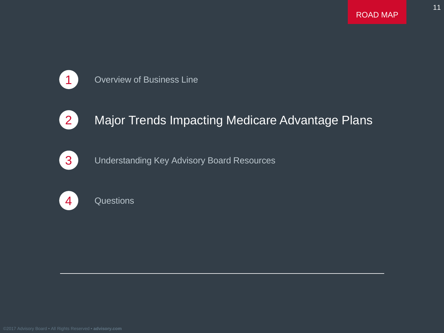

### **1** Overview of Business Line



### 2 Major Trends Impacting Medicare Advantage Plans



**3** Understanding Key Advisory Board Resources



4 Questions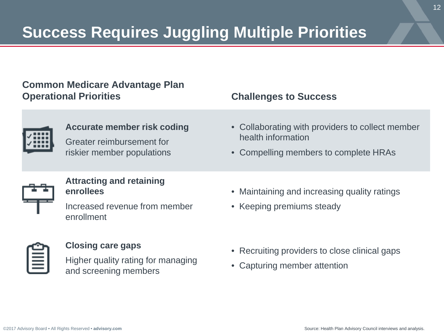# **Success Requires Juggling Multiple Priorities**

### **Common Medicare Advantage Plan Operational Priorities Challenges to Success**

#### **Accurate member risk coding**

Greater reimbursement for riskier member populations

- Collaborating with providers to collect member health information
- Compelling members to complete HRAs



### **Attracting and retaining enrollees**

Increased revenue from member enrollment

#### **Closing care gaps**

Higher quality rating for managing and screening members

- Maintaining and increasing quality ratings
- Keeping premiums steady

- Recruiting providers to close clinical gaps
- Capturing member attention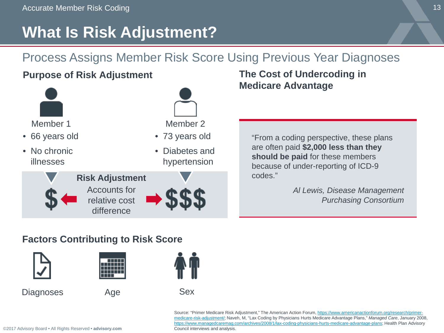# **What Is Risk Adjustment?**

## Process Assigns Member Risk Score Using Previous Year Diagnoses

### **Purpose of Risk Adjustment The Cost of Undercoding in**



# **Medicare Advantage**

"From a coding perspective, these plans are often paid **\$2,000 less than they should be paid** for these members because of under-reporting of ICD-9 codes."

> *Al Lewis, Disease Management Purchasing Consortium*

### **Factors Contributing to Risk Score**



Diagnoses Age Sex





[Source: "Primer Medicare Risk Adjustment," The American Action Forum, https://www.americanactionforum.org/research/primer](https://www.americanactionforum.org/research/primer-medicare-risk-adjustment/)medicare-risk-adjustment/; Naveh, M, "Lax Coding by Physicians Hurts Medicare Advantage Plans," *Managed Care*, January 2008, [https://www.managedcaremag.com/archives/2008/1/lax-coding-physicians-hurts-medicare-advantage-plans;](https://www.managedcaremag.com/archives/2008/1/lax-coding-physicians-hurts-medicare-advantage-plans) Health Plan Advisory Council interviews and analysis.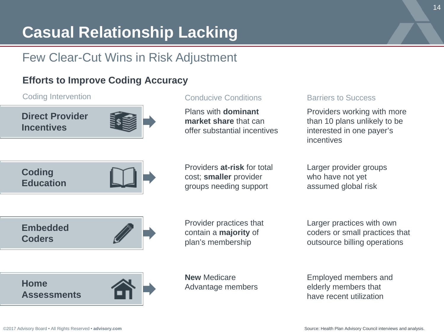# **Casual Relationship Lacking**

### Few Clear-Cut Wins in Risk Adjustment

### **Efforts to Improve Coding Accuracy**

#### Coding Intervention **Conductive Conductive Conditions** Barriers to Success

**Direct Provider Incentives**



Plans with **dominant market share** that can offer substantial incentives

Providers working with more than 10 plans unlikely to be interested in one payer's incentives



Providers **at-risk** for total cost; **smaller** provider groups needing support

Larger provider groups who have not yet assumed global risk



Provider practices that contain a **majority** of plan's membership

Larger practices with own coders or small practices that outsource billing operations



**New** Medicare Advantage members Employed members and elderly members that have recent utilization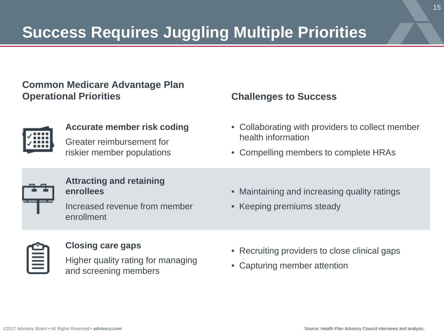# **Success Requires Juggling Multiple Priorities**

### **Common Medicare Advantage Plan Operational Priorities Challenges to Success**



#### **Accurate member risk coding**

Greater reimbursement for riskier member populations

- Collaborating with providers to collect member health information
- Compelling members to complete HRAs



### **Attracting and retaining enrollees**

Increased revenue from member enrollment

- Maintaining and increasing quality ratings
- Keeping premiums steady

#### **Closing care gaps**

Higher quality rating for managing and screening members

- Recruiting providers to close clinical gaps
- Capturing member attention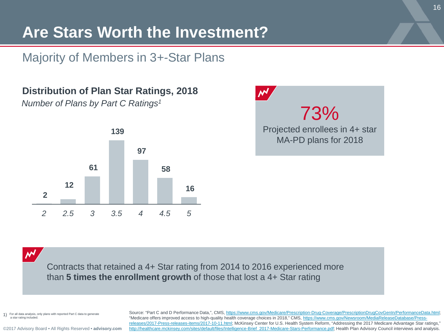# **Are Stars Worth the Investment?**

Majority of Members in 3+-Star Plans

**Distribution of Plan Star Ratings, 2018**

*Number of Plans by Part C Ratings1*





 $\boldsymbol{\mathcal{N}}$ 

Contracts that retained a 4+ Star rating from 2014 to 2016 experienced more than **5 times the enrollment growth** of those that lost a 4+ Star rating

For all data analysis, only plans with reported Part C data to generate a star rating included.

Source: "Part C and D Performance Data,", CMS, <https://www.cms.gov/Medicare/Prescription-Drug-Coverage/PrescriptionDrugCovGenIn/PerformanceData.html>; "Medicare offers improved access to high-quality health coverage choices in 2018," CMS, https://www.cms.gov/Newsroom/MediaReleaseDatabase/Press[releases/2017-Press-releases-items/2017-10-11.html; McKinsey Center for U.S. Health System Reform, "Addressing the 2017 Medicare Advantage Star ra](https://www.cms.gov/Newsroom/MediaReleaseDatabase/Press-releases/2017-Press-releases-items/2017-10-11.html)tings," [http://healthcare.mckinsey.com/sites/default/files/Intelligence-Brief\\_2017-Medicare-Stars-Performance.pdf;](http://healthcare.mckinsey.com/sites/default/files/Intelligence-Brief_2017-Medicare-Stars-Performance.pdf) Health Plan Advisory Council interviews and analysis.

[©2017 Advisory Board • All Rights Reserved •](https://www.advisory.com/) **advisory.com**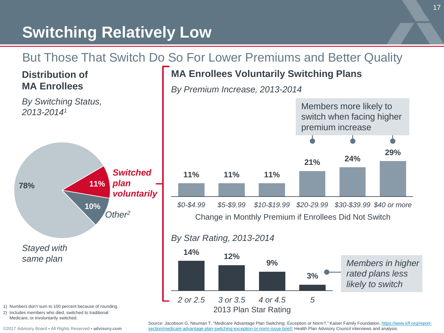# **Switching Relatively Low**

### But Those That Switch Do So For Lower Premiums and Better Quality

### **MA Enrollees Voluntarily Switching Plans**

*By Premium Increase, 2013-2014*





- 1) Numbers don't sum to 100 percent because of rounding.
- 2) Includes members who died, switched to traditional Medicare, or involuntarily switched.

**Distribution of MA Enrollees**

*By Switching Status,* 

[©2017 Advisory Board • All Rights Reserved •](https://www.advisory.com/) **advisory.com**

Source: Jacobson G, Neuman T, "Medicare Advantage Plan Switching: Exception or Norm?," Kaiser Family Foundation, https://www.kff.org/report[section/medicare-advantage-plan-switching-exception-or-norm-issue-brief/; Health Plan Advisory Council interviews and analysis.](https://www.kff.org/report-section/medicare-advantage-plan-switching-exception-or-norm-issue-brief/) 

2013 Plan Star Rating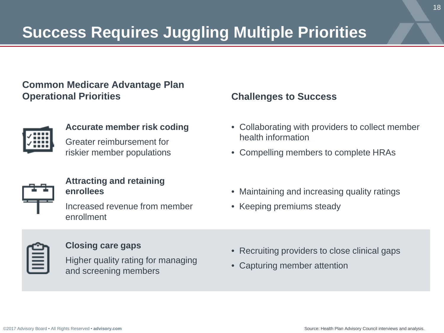# **Success Requires Juggling Multiple Priorities**

### **Common Medicare Advantage Plan Operational Priorities Challenges to Success**



#### **Accurate member risk coding**

Greater reimbursement for riskier member populations



### **Attracting and retaining enrollees**

Increased revenue from member enrollment

- Collaborating with providers to collect member health information
- Compelling members to complete HRAs
- Maintaining and increasing quality ratings
- Keeping premiums steady

#### **Closing care gaps**

Higher quality rating for managing and screening members

- Recruiting providers to close clinical gaps
- Capturing member attention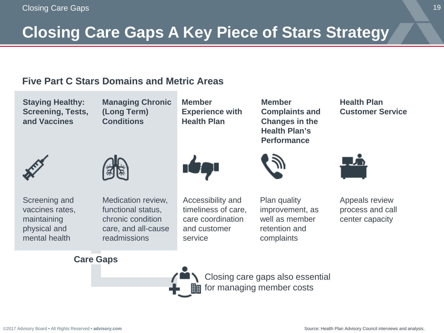# **Closing Care Gaps A Key Piece of Stars Strategy**

### **Five Part C Stars Domains and Metric Areas**

**Staying Healthy: Screening, Tests, and Vaccines**

**Managing Chronic (Long Term) Conditions**

**Member Experience with Health Plan**





Screening and vaccines rates, maintaining physical and mental health

Medication review, functional status, chronic condition care, and all-cause readmissions



Accessibility and timeliness of care, care coordination and customer service

Plan quality improvement, as well as member retention and complaints

**Member Complaints and Changes in the Health Plan's Performance**

**Health Plan Customer Service**



Appeals review process and call center capacity

#### **Care Gaps**

Closing care gaps also essential for managing member costs

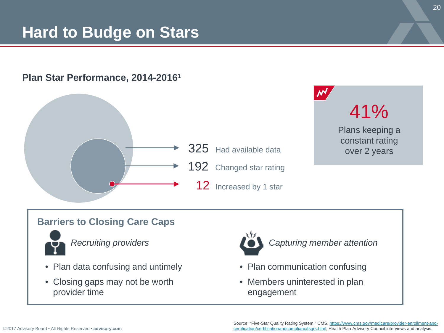# **Hard to Budge on Stars**

### **Plan Star Performance, 2014-20161**





### **Barriers to Closing Care Caps**



- Plan data confusing and untimely
- Closing gaps may not be worth provider time



*Recruiting providers Capturing member attention*

- Plan communication confusing
- Members uninterested in plan engagement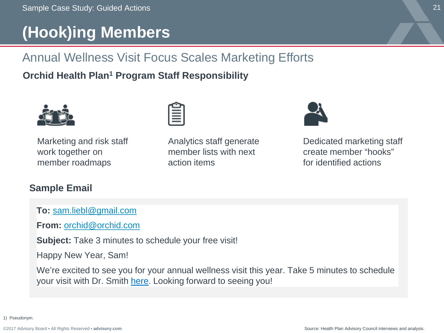# **(Hook)ing Members**

## Annual Wellness Visit Focus Scales Marketing Efforts

**Orchid Health Plan1 Program Staff Responsibility**



Marketing and risk staff work together on member roadmaps



Analytics staff generate member lists with next action items



Dedicated marketing staff create member "hooks" for identified actions

### **Sample Email**

**To:** [sam.liebl@gmail.com](mailto:sam.liebl@gmail.com)

**From:** [orchid@orchid.com](mailto:orchid@orchid.com)

**Subject:** Take 3 minutes to schedule your free visit!

Happy New Year, Sam!

We're excited to see you for your annual wellness visit this year. Take 5 minutes to schedule your visit with Dr. Smith here. Looking forward to seeing you!

1) Pseudonym.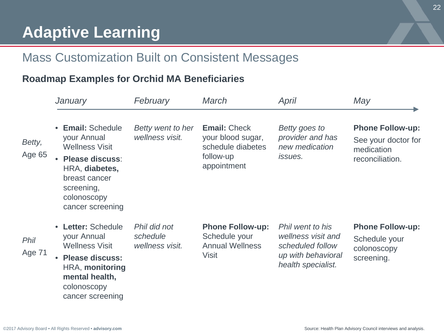### Mass Customization Built on Consistent Messages

### **Roadmap Examples for Orchid MA Beneficiaries**

|                  | January                                                                                                                                                                            | February                                    | March                                                                                     | April                                                                                                  | May                                                                             |
|------------------|------------------------------------------------------------------------------------------------------------------------------------------------------------------------------------|---------------------------------------------|-------------------------------------------------------------------------------------------|--------------------------------------------------------------------------------------------------------|---------------------------------------------------------------------------------|
| Betty,<br>Age 65 | <b>Email:</b> Schedule<br>$\bullet$<br>your Annual<br><b>Wellness Visit</b><br>Please discuss:<br>HRA, diabetes,<br>breast cancer<br>screening,<br>colonoscopy<br>cancer screening | Betty went to her<br>wellness visit.        | <b>Email: Check</b><br>your blood sugar,<br>schedule diabetes<br>follow-up<br>appointment | Betty goes to<br>provider and has<br>new medication<br><i>issues.</i>                                  | <b>Phone Follow-up:</b><br>See your doctor for<br>medication<br>reconciliation. |
| Phil<br>Age 71   | • Letter: Schedule<br>your Annual<br><b>Wellness Visit</b><br><b>Please discuss:</b><br>HRA, monitoring<br>mental health,<br>colonoscopy<br>cancer screening                       | Phil did not<br>schedule<br>wellness visit. | <b>Phone Follow-up:</b><br>Schedule your<br><b>Annual Wellness</b><br>Visit               | Phil went to his<br>wellness visit and<br>scheduled follow<br>up with behavioral<br>health specialist. | <b>Phone Follow-up:</b><br>Schedule your<br>colonoscopy<br>screening.           |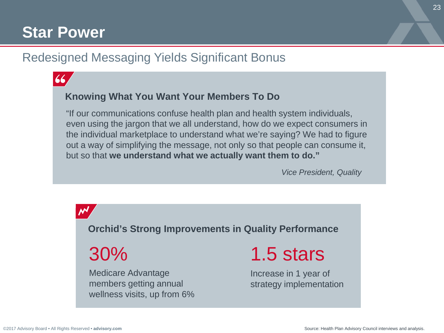# **Star Power**

### Redesigned Messaging Yields Significant Bonus



### **Knowing What You Want Your Members To Do**

"If our communications confuse health plan and health system individuals, even using the jargon that we all understand, how do we expect consumers in the individual marketplace to understand what we're saying? We had to figure out a way of simplifying the message, not only so that people can consume it, but so that **we understand what we actually want them to do."**

*Vice President, Quality*

**Orchid's Strong Improvements in Quality Performance**

30%

NΝ

Medicare Advantage members getting annual wellness visits, up from 6% 1.5 stars

Increase in 1 year of strategy implementation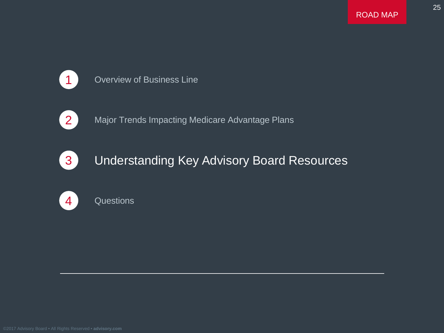

### 1 Overview of Business Line



2 Major Trends Impacting Medicare Advantage Plans



### **3** Understanding Key Advisory Board Resources



### 4 Questions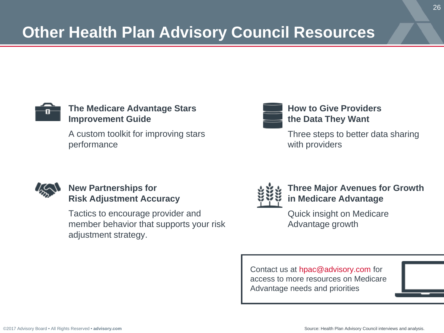

### **The Medicare Advantage Stars Improvement Guide**

A custom toolkit for improving stars performance



### **How to Give Providers the Data They Want**

Three steps to better data sharing with providers



### **New Partnerships for Risk Adjustment Accuracy**

Tactics to encourage provider and member behavior that supports your risk adjustment strategy.



### **Three Major Avenues for Growth in Medicare Advantage**

Quick insight on Medicare Advantage growth

Contact us at hpac@advisory.com for access to more resources on Medicare Advantage needs and priorities